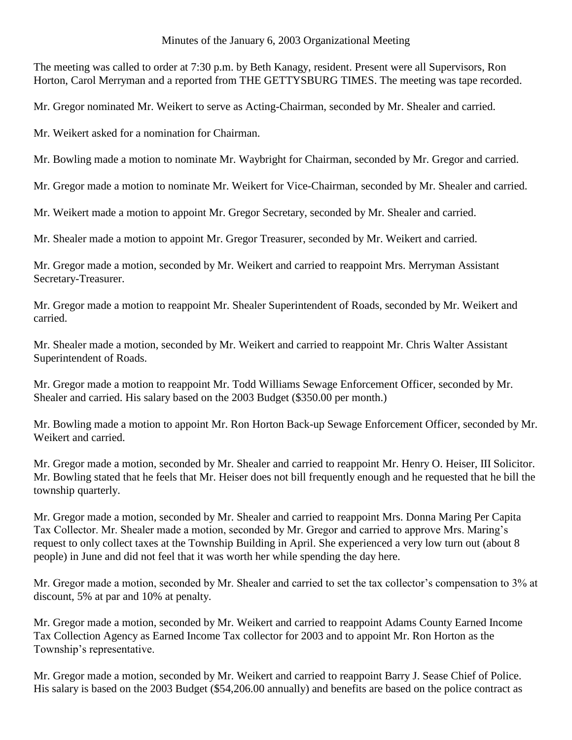#### Minutes of the January 6, 2003 Organizational Meeting

The meeting was called to order at 7:30 p.m. by Beth Kanagy, resident. Present were all Supervisors, Ron Horton, Carol Merryman and a reported from THE GETTYSBURG TIMES. The meeting was tape recorded.

Mr. Gregor nominated Mr. Weikert to serve as Acting-Chairman, seconded by Mr. Shealer and carried.

Mr. Weikert asked for a nomination for Chairman.

Mr. Bowling made a motion to nominate Mr. Waybright for Chairman, seconded by Mr. Gregor and carried.

Mr. Gregor made a motion to nominate Mr. Weikert for Vice-Chairman, seconded by Mr. Shealer and carried.

Mr. Weikert made a motion to appoint Mr. Gregor Secretary, seconded by Mr. Shealer and carried.

Mr. Shealer made a motion to appoint Mr. Gregor Treasurer, seconded by Mr. Weikert and carried.

Mr. Gregor made a motion, seconded by Mr. Weikert and carried to reappoint Mrs. Merryman Assistant Secretary-Treasurer.

Mr. Gregor made a motion to reappoint Mr. Shealer Superintendent of Roads, seconded by Mr. Weikert and carried.

Mr. Shealer made a motion, seconded by Mr. Weikert and carried to reappoint Mr. Chris Walter Assistant Superintendent of Roads.

Mr. Gregor made a motion to reappoint Mr. Todd Williams Sewage Enforcement Officer, seconded by Mr. Shealer and carried. His salary based on the 2003 Budget (\$350.00 per month.)

Mr. Bowling made a motion to appoint Mr. Ron Horton Back-up Sewage Enforcement Officer, seconded by Mr. Weikert and carried.

Mr. Gregor made a motion, seconded by Mr. Shealer and carried to reappoint Mr. Henry O. Heiser, III Solicitor. Mr. Bowling stated that he feels that Mr. Heiser does not bill frequently enough and he requested that he bill the township quarterly.

Mr. Gregor made a motion, seconded by Mr. Shealer and carried to reappoint Mrs. Donna Maring Per Capita Tax Collector. Mr. Shealer made a motion, seconded by Mr. Gregor and carried to approve Mrs. Maring's request to only collect taxes at the Township Building in April. She experienced a very low turn out (about 8 people) in June and did not feel that it was worth her while spending the day here.

Mr. Gregor made a motion, seconded by Mr. Shealer and carried to set the tax collector's compensation to 3% at discount, 5% at par and 10% at penalty.

Mr. Gregor made a motion, seconded by Mr. Weikert and carried to reappoint Adams County Earned Income Tax Collection Agency as Earned Income Tax collector for 2003 and to appoint Mr. Ron Horton as the Township's representative.

Mr. Gregor made a motion, seconded by Mr. Weikert and carried to reappoint Barry J. Sease Chief of Police. His salary is based on the 2003 Budget (\$54,206.00 annually) and benefits are based on the police contract as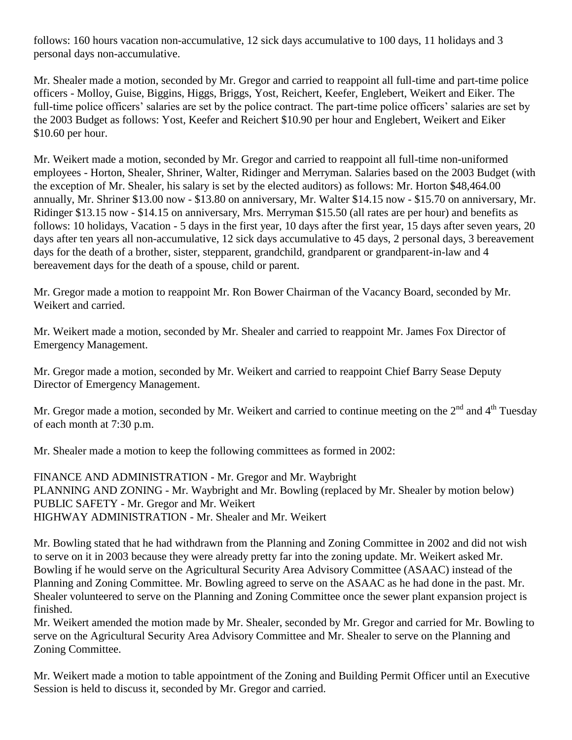follows: 160 hours vacation non-accumulative, 12 sick days accumulative to 100 days, 11 holidays and 3 personal days non-accumulative.

Mr. Shealer made a motion, seconded by Mr. Gregor and carried to reappoint all full-time and part-time police officers - Molloy, Guise, Biggins, Higgs, Briggs, Yost, Reichert, Keefer, Englebert, Weikert and Eiker. The full-time police officers' salaries are set by the police contract. The part-time police officers' salaries are set by the 2003 Budget as follows: Yost, Keefer and Reichert \$10.90 per hour and Englebert, Weikert and Eiker \$10.60 per hour.

Mr. Weikert made a motion, seconded by Mr. Gregor and carried to reappoint all full-time non-uniformed employees - Horton, Shealer, Shriner, Walter, Ridinger and Merryman. Salaries based on the 2003 Budget (with the exception of Mr. Shealer, his salary is set by the elected auditors) as follows: Mr. Horton \$48,464.00 annually, Mr. Shriner \$13.00 now - \$13.80 on anniversary, Mr. Walter \$14.15 now - \$15.70 on anniversary, Mr. Ridinger \$13.15 now - \$14.15 on anniversary, Mrs. Merryman \$15.50 (all rates are per hour) and benefits as follows: 10 holidays, Vacation - 5 days in the first year, 10 days after the first year, 15 days after seven years, 20 days after ten years all non-accumulative, 12 sick days accumulative to 45 days, 2 personal days, 3 bereavement days for the death of a brother, sister, stepparent, grandchild, grandparent or grandparent-in-law and 4 bereavement days for the death of a spouse, child or parent.

Mr. Gregor made a motion to reappoint Mr. Ron Bower Chairman of the Vacancy Board, seconded by Mr. Weikert and carried.

Mr. Weikert made a motion, seconded by Mr. Shealer and carried to reappoint Mr. James Fox Director of Emergency Management.

Mr. Gregor made a motion, seconded by Mr. Weikert and carried to reappoint Chief Barry Sease Deputy Director of Emergency Management.

Mr. Gregor made a motion, seconded by Mr. Weikert and carried to continue meeting on the  $2<sup>nd</sup>$  and  $4<sup>th</sup>$  Tuesday of each month at 7:30 p.m.

Mr. Shealer made a motion to keep the following committees as formed in 2002:

FINANCE AND ADMINISTRATION - Mr. Gregor and Mr. Waybright PLANNING AND ZONING - Mr. Waybright and Mr. Bowling (replaced by Mr. Shealer by motion below) PUBLIC SAFETY - Mr. Gregor and Mr. Weikert HIGHWAY ADMINISTRATION - Mr. Shealer and Mr. Weikert

Mr. Bowling stated that he had withdrawn from the Planning and Zoning Committee in 2002 and did not wish to serve on it in 2003 because they were already pretty far into the zoning update. Mr. Weikert asked Mr. Bowling if he would serve on the Agricultural Security Area Advisory Committee (ASAAC) instead of the Planning and Zoning Committee. Mr. Bowling agreed to serve on the ASAAC as he had done in the past. Mr. Shealer volunteered to serve on the Planning and Zoning Committee once the sewer plant expansion project is finished.

Mr. Weikert amended the motion made by Mr. Shealer, seconded by Mr. Gregor and carried for Mr. Bowling to serve on the Agricultural Security Area Advisory Committee and Mr. Shealer to serve on the Planning and Zoning Committee.

Mr. Weikert made a motion to table appointment of the Zoning and Building Permit Officer until an Executive Session is held to discuss it, seconded by Mr. Gregor and carried.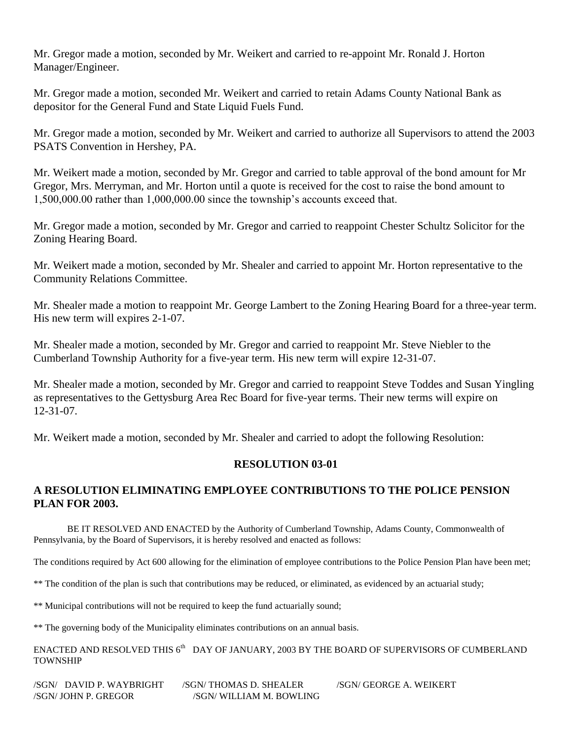Mr. Gregor made a motion, seconded by Mr. Weikert and carried to re-appoint Mr. Ronald J. Horton Manager/Engineer.

Mr. Gregor made a motion, seconded Mr. Weikert and carried to retain Adams County National Bank as depositor for the General Fund and State Liquid Fuels Fund.

Mr. Gregor made a motion, seconded by Mr. Weikert and carried to authorize all Supervisors to attend the 2003 PSATS Convention in Hershey, PA.

Mr. Weikert made a motion, seconded by Mr. Gregor and carried to table approval of the bond amount for Mr Gregor, Mrs. Merryman, and Mr. Horton until a quote is received for the cost to raise the bond amount to 1,500,000.00 rather than 1,000,000.00 since the township's accounts exceed that.

Mr. Gregor made a motion, seconded by Mr. Gregor and carried to reappoint Chester Schultz Solicitor for the Zoning Hearing Board.

Mr. Weikert made a motion, seconded by Mr. Shealer and carried to appoint Mr. Horton representative to the Community Relations Committee.

Mr. Shealer made a motion to reappoint Mr. George Lambert to the Zoning Hearing Board for a three-year term. His new term will expires 2-1-07.

Mr. Shealer made a motion, seconded by Mr. Gregor and carried to reappoint Mr. Steve Niebler to the Cumberland Township Authority for a five-year term. His new term will expire 12-31-07.

Mr. Shealer made a motion, seconded by Mr. Gregor and carried to reappoint Steve Toddes and Susan Yingling as representatives to the Gettysburg Area Rec Board for five-year terms. Their new terms will expire on 12-31-07.

Mr. Weikert made a motion, seconded by Mr. Shealer and carried to adopt the following Resolution:

# **RESOLUTION 03-01**

# **A RESOLUTION ELIMINATING EMPLOYEE CONTRIBUTIONS TO THE POLICE PENSION PLAN FOR 2003.**

BE IT RESOLVED AND ENACTED by the Authority of Cumberland Township, Adams County, Commonwealth of Pennsylvania, by the Board of Supervisors, it is hereby resolved and enacted as follows:

The conditions required by Act 600 allowing for the elimination of employee contributions to the Police Pension Plan have been met;

\*\* The condition of the plan is such that contributions may be reduced, or eliminated, as evidenced by an actuarial study;

\*\* Municipal contributions will not be required to keep the fund actuarially sound;

\*\* The governing body of the Municipality eliminates contributions on an annual basis.

ENACTED AND RESOLVED THIS  $6^{\text{th}}$  DAY OF JANUARY, 2003 BY THE BOARD OF SUPERVISORS OF CUMBERLAND TOWNSHIP

/SGN/ DAVID P. WAYBRIGHT /SGN/ THOMAS D. SHEALER /SGN/ GEORGE A. WEIKERT /SGN/ JOHN P. GREGOR /SGN/ WILLIAM M. BOWLING